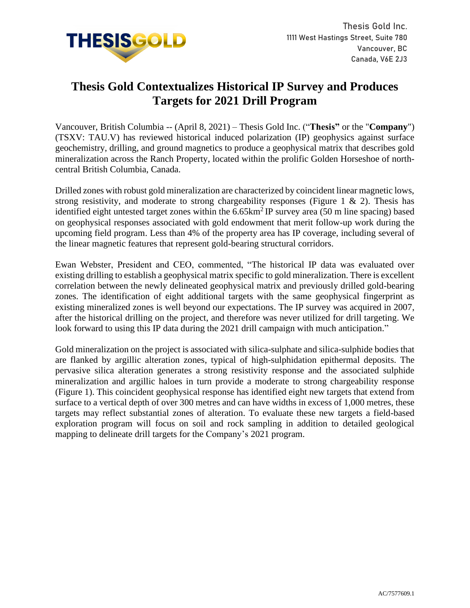

## **Thesis Gold Contextualizes Historical IP Survey and Produces Targets for 2021 Drill Program**

Vancouver, British Columbia -- (April 8, 2021) – Thesis Gold Inc. ("**Thesis"** or the "**Company**") (TSXV: TAU.V) has reviewed historical induced polarization (IP) geophysics against surface geochemistry, drilling, and ground magnetics to produce a geophysical matrix that describes gold mineralization across the Ranch Property, located within the prolific Golden Horseshoe of northcentral British Columbia, Canada.

Drilled zones with robust gold mineralization are characterized by coincident linear magnetic lows, strong resistivity, and moderate to strong chargeability responses (Figure 1  $\&$  2). Thesis has identified eight untested target zones within the  $6.65 \text{km}^2$  IP survey area (50 m line spacing) based on geophysical responses associated with gold endowment that merit follow-up work during the upcoming field program. Less than 4% of the property area has IP coverage, including several of the linear magnetic features that represent gold-bearing structural corridors.

Ewan Webster, President and CEO, commented, "The historical IP data was evaluated over existing drilling to establish a geophysical matrix specific to gold mineralization. There is excellent correlation between the newly delineated geophysical matrix and previously drilled gold-bearing zones. The identification of eight additional targets with the same geophysical fingerprint as existing mineralized zones is well beyond our expectations. The IP survey was acquired in 2007, after the historical drilling on the project, and therefore was never utilized for drill targeting. We look forward to using this IP data during the 2021 drill campaign with much anticipation."

Gold mineralization on the project is associated with silica-sulphate and silica-sulphide bodies that are flanked by argillic alteration zones, typical of high-sulphidation epithermal deposits. The pervasive silica alteration generates a strong resistivity response and the associated sulphide mineralization and argillic haloes in turn provide a moderate to strong chargeability response (Figure 1). This coincident geophysical response has identified eight new targets that extend from surface to a vertical depth of over 300 metres and can have widths in excess of 1,000 metres, these targets may reflect substantial zones of alteration. To evaluate these new targets a field-based exploration program will focus on soil and rock sampling in addition to detailed geological mapping to delineate drill targets for the Company's 2021 program.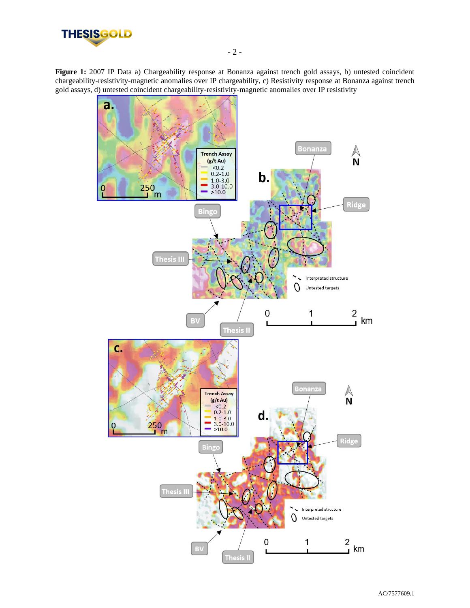

Figure 1: 2007 IP Data a) Chargeability response at Bonanza against trench gold assays, b) untested coincident chargeability-resistivity-magnetic anomalies over IP chargeability, c) Resistivity response at Bonanza against trench gold assays, d) untested coincident chargeability-resistivity-magnetic anomalies over IP resistivity

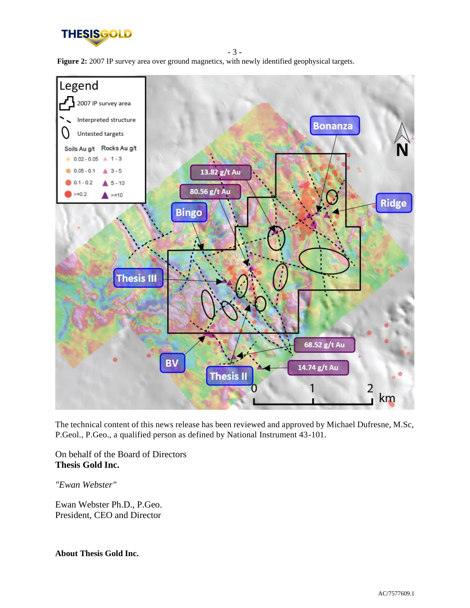

**Figure 2:** 2007 IP survey area over ground magnetics, with newly identified geophysical targets.

- 3 -



The technical content of this news release has been reviewed and approved by Michael Dufresne, M.Sc, P.Geol., P.Geo., a qualified person as defined by National Instrument 43-101.

On behalf of the Board of Directors **Thesis Gold Inc.**

*"Ewan Webster"*

Ewan Webster Ph.D., P.Geo. President, CEO and Director

**About Thesis Gold Inc.**